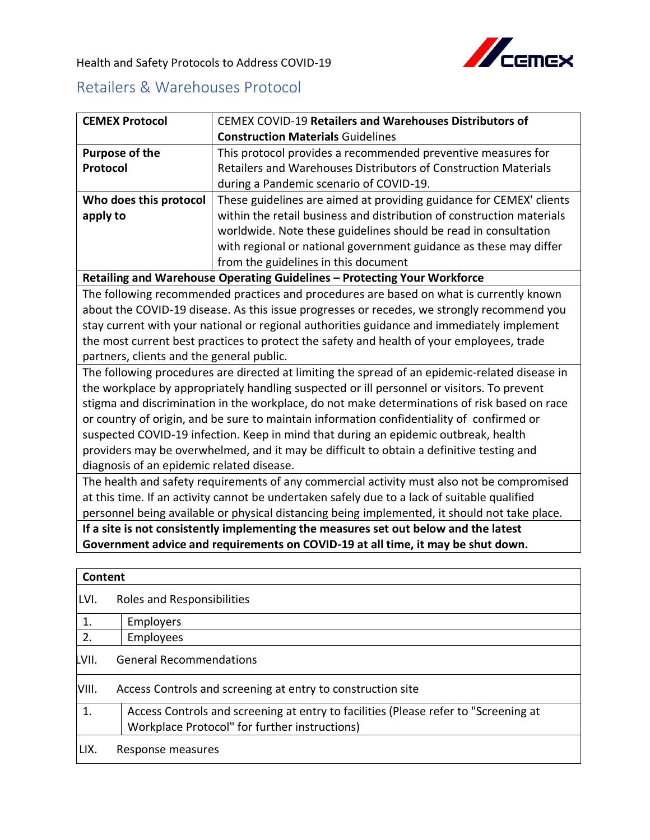

Health and Safety Protocols to Address COVID-19

## Retailers & Warehouses Protocol

| <b>CEMEX Protocol</b>                                                                        | <b>CEMEX COVID-19 Retailers and Warehouses Distributors of</b>                                 |  |
|----------------------------------------------------------------------------------------------|------------------------------------------------------------------------------------------------|--|
|                                                                                              | <b>Construction Materials Guidelines</b>                                                       |  |
| <b>Purpose of the</b>                                                                        | This protocol provides a recommended preventive measures for                                   |  |
| Protocol                                                                                     | Retailers and Warehouses Distributors of Construction Materials                                |  |
|                                                                                              | during a Pandemic scenario of COVID-19.                                                        |  |
| Who does this protocol                                                                       | These guidelines are aimed at providing guidance for CEMEX' clients                            |  |
| apply to                                                                                     | within the retail business and distribution of construction materials                          |  |
|                                                                                              | worldwide. Note these guidelines should be read in consultation                                |  |
|                                                                                              | with regional or national government guidance as these may differ                              |  |
|                                                                                              | from the guidelines in this document                                                           |  |
|                                                                                              | Retailing and Warehouse Operating Guidelines - Protecting Your Workforce                       |  |
|                                                                                              | The following recommended practices and procedures are based on what is currently known        |  |
|                                                                                              | about the COVID-19 disease. As this issue progresses or recedes, we strongly recommend you     |  |
|                                                                                              | stay current with your national or regional authorities guidance and immediately implement     |  |
|                                                                                              | the most current best practices to protect the safety and health of your employees, trade      |  |
| partners, clients and the general public.                                                    |                                                                                                |  |
|                                                                                              | The following procedures are directed at limiting the spread of an epidemic-related disease in |  |
|                                                                                              | the workplace by appropriately handling suspected or ill personnel or visitors. To prevent     |  |
| stigma and discrimination in the workplace, do not make determinations of risk based on race |                                                                                                |  |
| or country of origin, and be sure to maintain information confidentiality of confirmed or    |                                                                                                |  |
| suspected COVID-19 infection. Keep in mind that during an epidemic outbreak, health          |                                                                                                |  |
| providers may be overwhelmed, and it may be difficult to obtain a definitive testing and     |                                                                                                |  |
| diagnosis of an epidemic related disease.                                                    |                                                                                                |  |
|                                                                                              | The health and safety requirements of any commercial activity must also not be compromised     |  |
|                                                                                              | at this time. If an activity cannot be undertaken safely due to a lack of suitable qualified   |  |
|                                                                                              | personnel being available or physical distancing being implemented, it should not take place.  |  |
|                                                                                              | If a site is not consistently implementing the measures set out below and the latest           |  |
|                                                                                              | Government advice and requirements on COVID-19 at all time, it may be shut down.               |  |
|                                                                                              |                                                                                                |  |
| <b>Content</b>                                                                               |                                                                                                |  |
| LVI.<br>Roles and Responsibilities                                                           |                                                                                                |  |
| 1.<br>Employers                                                                              |                                                                                                |  |
| 2.<br>Employees                                                                              |                                                                                                |  |
| <b>General Recommendations</b><br>.VII.                                                      |                                                                                                |  |
| VIII.                                                                                        | Access Controls and screening at entry to construction site                                    |  |
| 1.                                                                                           | Access Controls and screening at entry to facilities (Please refer to "Screening at            |  |

Workplace Protocol" for further instructions)

LIX. Response measures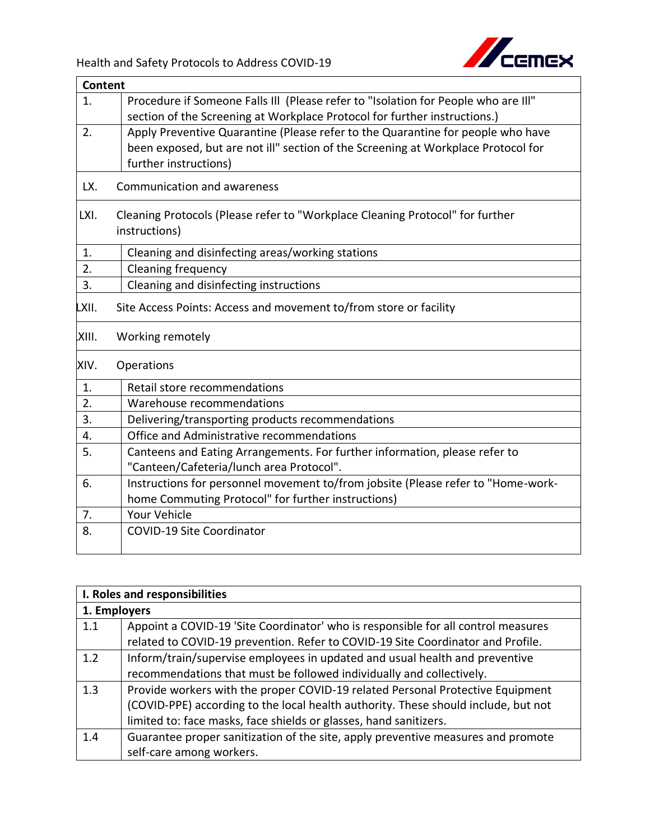

|                  | <b>Content</b>                                                                     |  |
|------------------|------------------------------------------------------------------------------------|--|
| 1.               | Procedure if Someone Falls III (Please refer to "Isolation for People who are III" |  |
|                  | section of the Screening at Workplace Protocol for further instructions.)          |  |
| 2.               | Apply Preventive Quarantine (Please refer to the Quarantine for people who have    |  |
|                  | been exposed, but are not ill" section of the Screening at Workplace Protocol for  |  |
|                  | further instructions)                                                              |  |
| LX.              | Communication and awareness                                                        |  |
| LXI.             | Cleaning Protocols (Please refer to "Workplace Cleaning Protocol" for further      |  |
|                  | instructions)                                                                      |  |
| 1.               | Cleaning and disinfecting areas/working stations                                   |  |
| $\overline{2}$ . | Cleaning frequency                                                                 |  |
| 3.               | Cleaning and disinfecting instructions                                             |  |
| XII.             | Site Access Points: Access and movement to/from store or facility                  |  |
| XIII.            | Working remotely                                                                   |  |
| XIV.             | Operations                                                                         |  |
| 1.               | Retail store recommendations                                                       |  |
| 2.               | Warehouse recommendations                                                          |  |
| 3.               | Delivering/transporting products recommendations                                   |  |
| 4.               | Office and Administrative recommendations                                          |  |
| 5.               | Canteens and Eating Arrangements. For further information, please refer to         |  |
|                  | "Canteen/Cafeteria/lunch area Protocol".                                           |  |
| 6.               | Instructions for personnel movement to/from jobsite (Please refer to "Home-work-   |  |
|                  | home Commuting Protocol" for further instructions)                                 |  |
| 7.               | Your Vehicle                                                                       |  |
| 8.               | <b>COVID-19 Site Coordinator</b>                                                   |  |
|                  |                                                                                    |  |

| I. Roles and responsibilities |                                                                                    |  |
|-------------------------------|------------------------------------------------------------------------------------|--|
|                               | 1. Employers                                                                       |  |
| 1.1                           | Appoint a COVID-19 'Site Coordinator' who is responsible for all control measures  |  |
|                               | related to COVID-19 prevention. Refer to COVID-19 Site Coordinator and Profile.    |  |
| 1.2                           | Inform/train/supervise employees in updated and usual health and preventive        |  |
|                               | recommendations that must be followed individually and collectively.               |  |
| 1.3                           | Provide workers with the proper COVID-19 related Personal Protective Equipment     |  |
|                               | (COVID-PPE) according to the local health authority. These should include, but not |  |
|                               | limited to: face masks, face shields or glasses, hand sanitizers.                  |  |
| 1.4                           | Guarantee proper sanitization of the site, apply preventive measures and promote   |  |
|                               | self-care among workers.                                                           |  |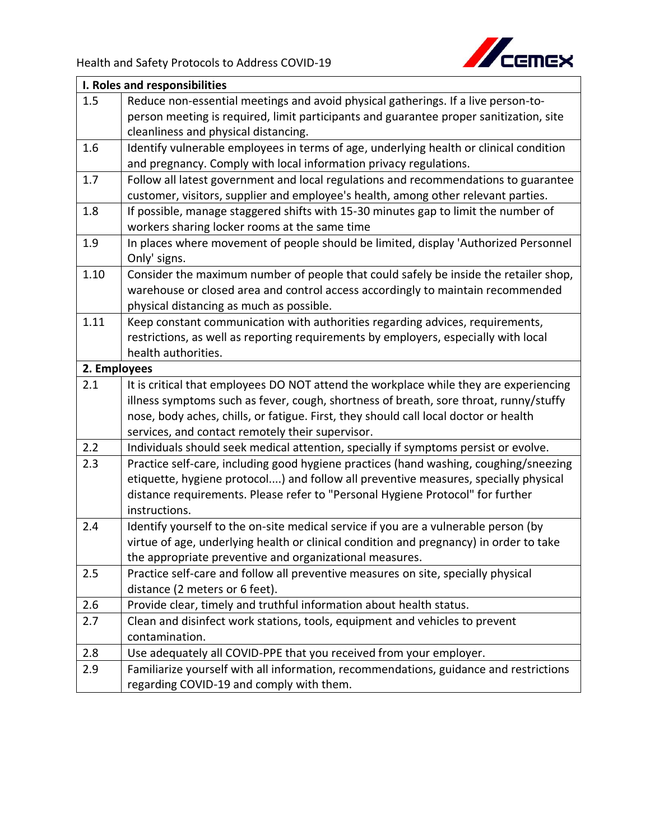

| I. Roles and responsibilities |                                                                                        |  |
|-------------------------------|----------------------------------------------------------------------------------------|--|
| 1.5                           | Reduce non-essential meetings and avoid physical gatherings. If a live person-to-      |  |
|                               | person meeting is required, limit participants and guarantee proper sanitization, site |  |
|                               | cleanliness and physical distancing.                                                   |  |
| 1.6                           | Identify vulnerable employees in terms of age, underlying health or clinical condition |  |
|                               | and pregnancy. Comply with local information privacy regulations.                      |  |
| 1.7                           | Follow all latest government and local regulations and recommendations to guarantee    |  |
|                               | customer, visitors, supplier and employee's health, among other relevant parties.      |  |
| 1.8                           | If possible, manage staggered shifts with 15-30 minutes gap to limit the number of     |  |
|                               | workers sharing locker rooms at the same time                                          |  |
| 1.9                           | In places where movement of people should be limited, display 'Authorized Personnel    |  |
|                               | Only' signs.                                                                           |  |
| 1.10                          | Consider the maximum number of people that could safely be inside the retailer shop,   |  |
|                               | warehouse or closed area and control access accordingly to maintain recommended        |  |
|                               | physical distancing as much as possible.                                               |  |
| 1.11                          | Keep constant communication with authorities regarding advices, requirements,          |  |
|                               | restrictions, as well as reporting requirements by employers, especially with local    |  |
|                               | health authorities.                                                                    |  |
| 2. Employees                  |                                                                                        |  |
| 2.1                           | It is critical that employees DO NOT attend the workplace while they are experiencing  |  |
|                               | illness symptoms such as fever, cough, shortness of breath, sore throat, runny/stuffy  |  |
|                               | nose, body aches, chills, or fatigue. First, they should call local doctor or health   |  |
|                               | services, and contact remotely their supervisor.                                       |  |
| 2.2                           | Individuals should seek medical attention, specially if symptoms persist or evolve.    |  |
| 2.3                           | Practice self-care, including good hygiene practices (hand washing, coughing/sneezing  |  |
|                               | etiquette, hygiene protocol) and follow all preventive measures, specially physical    |  |
|                               | distance requirements. Please refer to "Personal Hygiene Protocol" for further         |  |
|                               | instructions.                                                                          |  |
| 2.4                           | Identify yourself to the on-site medical service if you are a vulnerable person (by    |  |
|                               | virtue of age, underlying health or clinical condition and pregnancy) in order to take |  |
|                               | the appropriate preventive and organizational measures.                                |  |
| 2.5                           | Practice self-care and follow all preventive measures on site, specially physical      |  |
|                               | distance (2 meters or 6 feet).                                                         |  |
| 2.6                           | Provide clear, timely and truthful information about health status.                    |  |
| 2.7                           | Clean and disinfect work stations, tools, equipment and vehicles to prevent            |  |
|                               | contamination.                                                                         |  |
| 2.8                           | Use adequately all COVID-PPE that you received from your employer.                     |  |
| 2.9                           | Familiarize yourself with all information, recommendations, guidance and restrictions  |  |
|                               | regarding COVID-19 and comply with them.                                               |  |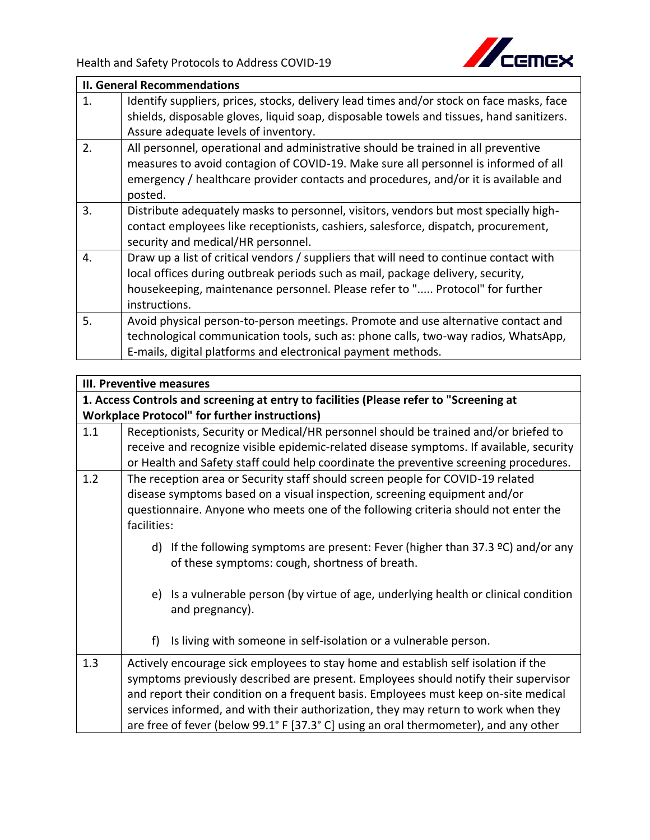

|    | <b>II. General Recommendations</b>                                                       |  |
|----|------------------------------------------------------------------------------------------|--|
| 1. | Identify suppliers, prices, stocks, delivery lead times and/or stock on face masks, face |  |
|    | shields, disposable gloves, liquid soap, disposable towels and tissues, hand sanitizers. |  |
|    | Assure adequate levels of inventory.                                                     |  |
| 2. | All personnel, operational and administrative should be trained in all preventive        |  |
|    | measures to avoid contagion of COVID-19. Make sure all personnel is informed of all      |  |
|    | emergency / healthcare provider contacts and procedures, and/or it is available and      |  |
|    | posted.                                                                                  |  |
| 3. | Distribute adequately masks to personnel, visitors, vendors but most specially high-     |  |
|    | contact employees like receptionists, cashiers, salesforce, dispatch, procurement,       |  |
|    | security and medical/HR personnel.                                                       |  |
| 4. | Draw up a list of critical vendors / suppliers that will need to continue contact with   |  |
|    | local offices during outbreak periods such as mail, package delivery, security,          |  |
|    | housekeeping, maintenance personnel. Please refer to " Protocol" for further             |  |
|    | instructions.                                                                            |  |
| 5. | Avoid physical person-to-person meetings. Promote and use alternative contact and        |  |
|    | technological communication tools, such as: phone calls, two-way radios, WhatsApp,       |  |
|    | E-mails, digital platforms and electronical payment methods.                             |  |

|     | III. Preventive measures                                                                                                                                                                                                                                                                                                                                                                                                                       |  |
|-----|------------------------------------------------------------------------------------------------------------------------------------------------------------------------------------------------------------------------------------------------------------------------------------------------------------------------------------------------------------------------------------------------------------------------------------------------|--|
|     | 1. Access Controls and screening at entry to facilities (Please refer to "Screening at                                                                                                                                                                                                                                                                                                                                                         |  |
|     | <b>Workplace Protocol" for further instructions)</b>                                                                                                                                                                                                                                                                                                                                                                                           |  |
| 1.1 | Receptionists, Security or Medical/HR personnel should be trained and/or briefed to<br>receive and recognize visible epidemic-related disease symptoms. If available, security<br>or Health and Safety staff could help coordinate the preventive screening procedures.                                                                                                                                                                        |  |
| 1.2 | The reception area or Security staff should screen people for COVID-19 related<br>disease symptoms based on a visual inspection, screening equipment and/or<br>questionnaire. Anyone who meets one of the following criteria should not enter the<br>facilities:                                                                                                                                                                               |  |
|     | d) If the following symptoms are present: Fever (higher than 37.3 $°C$ ) and/or any<br>of these symptoms: cough, shortness of breath.                                                                                                                                                                                                                                                                                                          |  |
|     | e) Is a vulnerable person (by virtue of age, underlying health or clinical condition<br>and pregnancy).                                                                                                                                                                                                                                                                                                                                        |  |
|     | Is living with someone in self-isolation or a vulnerable person.<br>f)                                                                                                                                                                                                                                                                                                                                                                         |  |
| 1.3 | Actively encourage sick employees to stay home and establish self isolation if the<br>symptoms previously described are present. Employees should notify their supervisor<br>and report their condition on a frequent basis. Employees must keep on-site medical<br>services informed, and with their authorization, they may return to work when they<br>are free of fever (below 99.1° F [37.3° C] using an oral thermometer), and any other |  |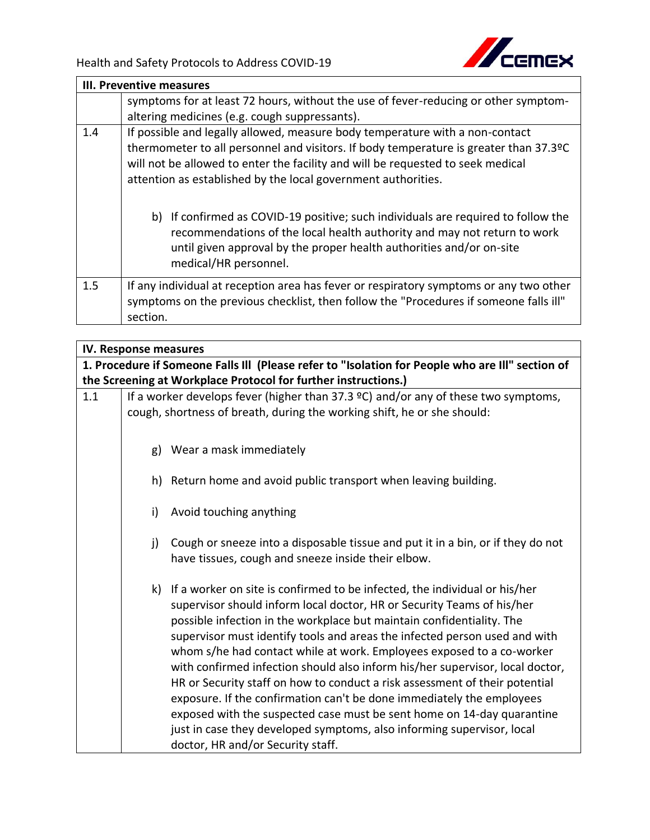

|     | III. Preventive measures                                                                                                                                                                                                                                                                                                  |  |
|-----|---------------------------------------------------------------------------------------------------------------------------------------------------------------------------------------------------------------------------------------------------------------------------------------------------------------------------|--|
|     | symptoms for at least 72 hours, without the use of fever-reducing or other symptom-                                                                                                                                                                                                                                       |  |
|     | altering medicines (e.g. cough suppressants).                                                                                                                                                                                                                                                                             |  |
| 1.4 | If possible and legally allowed, measure body temperature with a non-contact<br>thermometer to all personnel and visitors. If body temperature is greater than 37.3ºC<br>will not be allowed to enter the facility and will be requested to seek medical<br>attention as established by the local government authorities. |  |
|     | b) If confirmed as COVID-19 positive; such individuals are required to follow the<br>recommendations of the local health authority and may not return to work<br>until given approval by the proper health authorities and/or on-site<br>medical/HR personnel.                                                            |  |
| 1.5 | If any individual at reception area has fever or respiratory symptoms or any two other<br>symptoms on the previous checklist, then follow the "Procedures if someone falls ill"<br>section.                                                                                                                               |  |

|     | IV. Response measures |                                                                                                                                                                                                                                                                                                                                                                                                                                                                                                                                                                                                                                                                                                                                                                                                                           |
|-----|-----------------------|---------------------------------------------------------------------------------------------------------------------------------------------------------------------------------------------------------------------------------------------------------------------------------------------------------------------------------------------------------------------------------------------------------------------------------------------------------------------------------------------------------------------------------------------------------------------------------------------------------------------------------------------------------------------------------------------------------------------------------------------------------------------------------------------------------------------------|
|     |                       | 1. Procedure if Someone Falls III (Please refer to "Isolation for People who are III" section of                                                                                                                                                                                                                                                                                                                                                                                                                                                                                                                                                                                                                                                                                                                          |
|     |                       | the Screening at Workplace Protocol for further instructions.)                                                                                                                                                                                                                                                                                                                                                                                                                                                                                                                                                                                                                                                                                                                                                            |
| 1.1 |                       | If a worker develops fever (higher than 37.3 $°C$ ) and/or any of these two symptoms,<br>cough, shortness of breath, during the working shift, he or she should:                                                                                                                                                                                                                                                                                                                                                                                                                                                                                                                                                                                                                                                          |
|     |                       | g) Wear a mask immediately                                                                                                                                                                                                                                                                                                                                                                                                                                                                                                                                                                                                                                                                                                                                                                                                |
|     |                       | h) Return home and avoid public transport when leaving building.                                                                                                                                                                                                                                                                                                                                                                                                                                                                                                                                                                                                                                                                                                                                                          |
|     | i)                    | Avoid touching anything                                                                                                                                                                                                                                                                                                                                                                                                                                                                                                                                                                                                                                                                                                                                                                                                   |
|     | j)                    | Cough or sneeze into a disposable tissue and put it in a bin, or if they do not<br>have tissues, cough and sneeze inside their elbow.                                                                                                                                                                                                                                                                                                                                                                                                                                                                                                                                                                                                                                                                                     |
|     |                       | k) If a worker on site is confirmed to be infected, the individual or his/her<br>supervisor should inform local doctor, HR or Security Teams of his/her<br>possible infection in the workplace but maintain confidentiality. The<br>supervisor must identify tools and areas the infected person used and with<br>whom s/he had contact while at work. Employees exposed to a co-worker<br>with confirmed infection should also inform his/her supervisor, local doctor,<br>HR or Security staff on how to conduct a risk assessment of their potential<br>exposure. If the confirmation can't be done immediately the employees<br>exposed with the suspected case must be sent home on 14-day quarantine<br>just in case they developed symptoms, also informing supervisor, local<br>doctor, HR and/or Security staff. |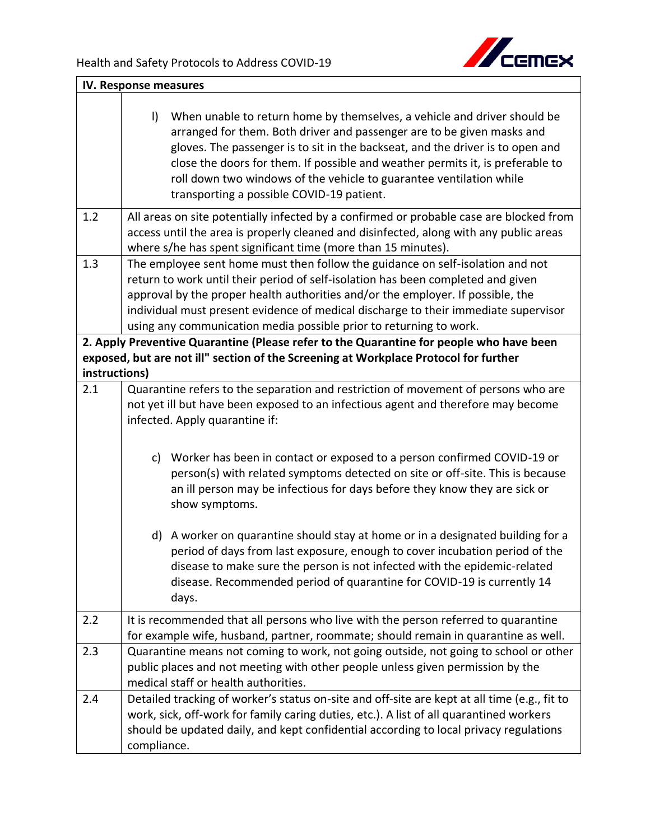

|               | IV. Response measures                                                                                                                                                                                                                                                                                                                                                                                                                                 |  |  |
|---------------|-------------------------------------------------------------------------------------------------------------------------------------------------------------------------------------------------------------------------------------------------------------------------------------------------------------------------------------------------------------------------------------------------------------------------------------------------------|--|--|
|               | $\vert$<br>When unable to return home by themselves, a vehicle and driver should be<br>arranged for them. Both driver and passenger are to be given masks and<br>gloves. The passenger is to sit in the backseat, and the driver is to open and<br>close the doors for them. If possible and weather permits it, is preferable to<br>roll down two windows of the vehicle to guarantee ventilation while<br>transporting a possible COVID-19 patient. |  |  |
| 1.2           | All areas on site potentially infected by a confirmed or probable case are blocked from<br>access until the area is properly cleaned and disinfected, along with any public areas<br>where s/he has spent significant time (more than 15 minutes).                                                                                                                                                                                                    |  |  |
| 1.3           | The employee sent home must then follow the guidance on self-isolation and not<br>return to work until their period of self-isolation has been completed and given<br>approval by the proper health authorities and/or the employer. If possible, the<br>individual must present evidence of medical discharge to their immediate supervisor<br>using any communication media possible prior to returning to work.                                    |  |  |
|               | 2. Apply Preventive Quarantine (Please refer to the Quarantine for people who have been                                                                                                                                                                                                                                                                                                                                                               |  |  |
| instructions) | exposed, but are not ill" section of the Screening at Workplace Protocol for further                                                                                                                                                                                                                                                                                                                                                                  |  |  |
| 2.1           | Quarantine refers to the separation and restriction of movement of persons who are<br>not yet ill but have been exposed to an infectious agent and therefore may become<br>infected. Apply quarantine if:                                                                                                                                                                                                                                             |  |  |
|               | c) Worker has been in contact or exposed to a person confirmed COVID-19 or<br>person(s) with related symptoms detected on site or off-site. This is because<br>an ill person may be infectious for days before they know they are sick or<br>show symptoms.                                                                                                                                                                                           |  |  |
|               | d) A worker on quarantine should stay at home or in a designated building for a<br>period of days from last exposure, enough to cover incubation period of the<br>disease to make sure the person is not infected with the epidemic-related<br>disease. Recommended period of quarantine for COVID-19 is currently 14<br>days.                                                                                                                        |  |  |
| 2.2           | It is recommended that all persons who live with the person referred to quarantine<br>for example wife, husband, partner, roommate; should remain in quarantine as well.                                                                                                                                                                                                                                                                              |  |  |
| 2.3           | Quarantine means not coming to work, not going outside, not going to school or other<br>public places and not meeting with other people unless given permission by the<br>medical staff or health authorities.                                                                                                                                                                                                                                        |  |  |
| 2.4           | Detailed tracking of worker's status on-site and off-site are kept at all time (e.g., fit to<br>work, sick, off-work for family caring duties, etc.). A list of all quarantined workers<br>should be updated daily, and kept confidential according to local privacy regulations<br>compliance.                                                                                                                                                       |  |  |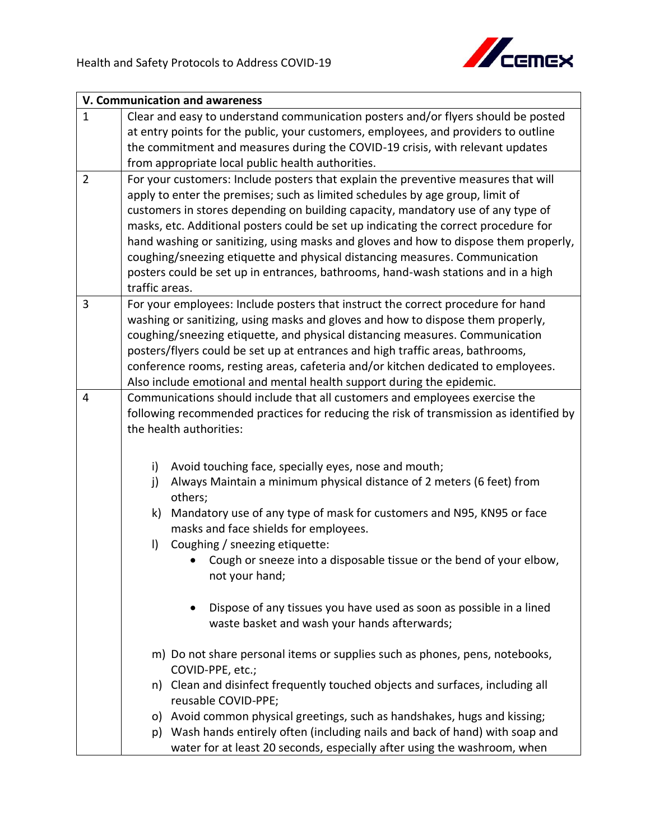

|                | V. Communication and awareness                                                         |
|----------------|----------------------------------------------------------------------------------------|
| $\mathbf{1}$   | Clear and easy to understand communication posters and/or flyers should be posted      |
|                | at entry points for the public, your customers, employees, and providers to outline    |
|                | the commitment and measures during the COVID-19 crisis, with relevant updates          |
|                | from appropriate local public health authorities.                                      |
| $\overline{2}$ | For your customers: Include posters that explain the preventive measures that will     |
|                | apply to enter the premises; such as limited schedules by age group, limit of          |
|                | customers in stores depending on building capacity, mandatory use of any type of       |
|                | masks, etc. Additional posters could be set up indicating the correct procedure for    |
|                | hand washing or sanitizing, using masks and gloves and how to dispose them properly,   |
|                | coughing/sneezing etiquette and physical distancing measures. Communication            |
|                | posters could be set up in entrances, bathrooms, hand-wash stations and in a high      |
|                | traffic areas.                                                                         |
| 3              | For your employees: Include posters that instruct the correct procedure for hand       |
|                | washing or sanitizing, using masks and gloves and how to dispose them properly,        |
|                | coughing/sneezing etiquette, and physical distancing measures. Communication           |
|                | posters/flyers could be set up at entrances and high traffic areas, bathrooms,         |
|                | conference rooms, resting areas, cafeteria and/or kitchen dedicated to employees.      |
|                | Also include emotional and mental health support during the epidemic.                  |
| $\overline{4}$ | Communications should include that all customers and employees exercise the            |
|                | following recommended practices for reducing the risk of transmission as identified by |
|                | the health authorities:                                                                |
|                |                                                                                        |
|                | Avoid touching face, specially eyes, nose and mouth;<br>i)                             |
|                | Always Maintain a minimum physical distance of 2 meters (6 feet) from<br>j)            |
|                | others;                                                                                |
|                | Mandatory use of any type of mask for customers and N95, KN95 or face<br>k)            |
|                | masks and face shields for employees.                                                  |
|                | Coughing / sneezing etiquette:<br>$\vert$                                              |
|                |                                                                                        |
|                | Cough or sneeze into a disposable tissue or the bend of your elbow,<br>not your hand;  |
|                |                                                                                        |
|                | Dispose of any tissues you have used as soon as possible in a lined                    |
|                | waste basket and wash your hands afterwards;                                           |
|                |                                                                                        |
|                | m) Do not share personal items or supplies such as phones, pens, notebooks,            |
|                | COVID-PPE, etc.;                                                                       |
|                | n) Clean and disinfect frequently touched objects and surfaces, including all          |
|                | reusable COVID-PPE;                                                                    |
|                | o) Avoid common physical greetings, such as handshakes, hugs and kissing;              |
|                | p) Wash hands entirely often (including nails and back of hand) with soap and          |
|                | water for at least 20 seconds, especially after using the washroom, when               |
|                |                                                                                        |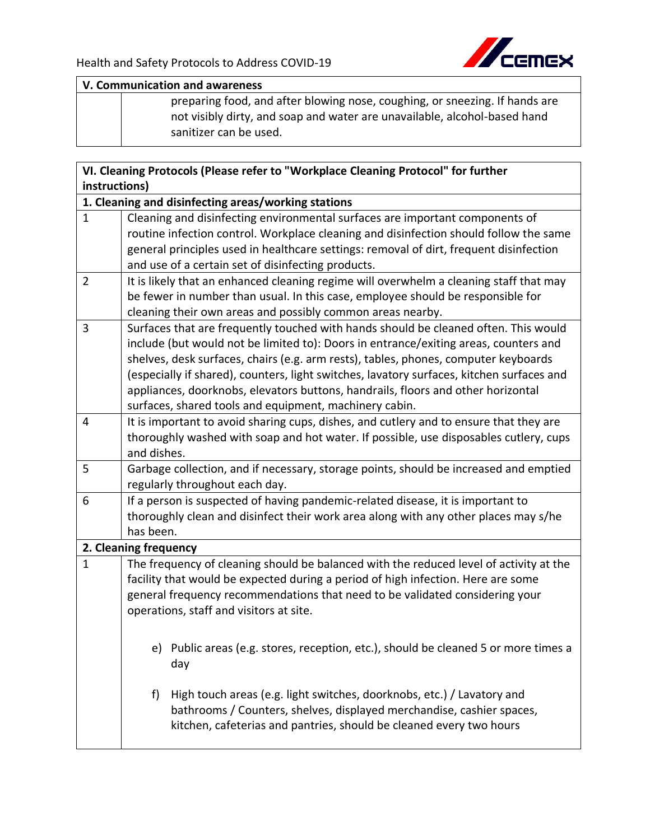

## **V. Communication and awareness**

preparing food, and after blowing nose, coughing, or sneezing. If hands are not visibly dirty, and soap and water are unavailable, alcohol-based hand sanitizer can be used.

|                | VI. Cleaning Protocols (Please refer to "Workplace Cleaning Protocol" for further                                                                                      |
|----------------|------------------------------------------------------------------------------------------------------------------------------------------------------------------------|
| instructions)  |                                                                                                                                                                        |
|                | 1. Cleaning and disinfecting areas/working stations                                                                                                                    |
| $\mathbf{1}$   | Cleaning and disinfecting environmental surfaces are important components of                                                                                           |
|                | routine infection control. Workplace cleaning and disinfection should follow the same                                                                                  |
|                | general principles used in healthcare settings: removal of dirt, frequent disinfection                                                                                 |
|                | and use of a certain set of disinfecting products.                                                                                                                     |
| $\overline{2}$ | It is likely that an enhanced cleaning regime will overwhelm a cleaning staff that may                                                                                 |
|                | be fewer in number than usual. In this case, employee should be responsible for                                                                                        |
|                | cleaning their own areas and possibly common areas nearby.                                                                                                             |
| 3              | Surfaces that are frequently touched with hands should be cleaned often. This would                                                                                    |
|                | include (but would not be limited to): Doors in entrance/exiting areas, counters and                                                                                   |
|                | shelves, desk surfaces, chairs (e.g. arm rests), tables, phones, computer keyboards                                                                                    |
|                | (especially if shared), counters, light switches, lavatory surfaces, kitchen surfaces and                                                                              |
|                | appliances, doorknobs, elevators buttons, handrails, floors and other horizontal                                                                                       |
|                | surfaces, shared tools and equipment, machinery cabin.                                                                                                                 |
| 4              | It is important to avoid sharing cups, dishes, and cutlery and to ensure that they are                                                                                 |
|                | thoroughly washed with soap and hot water. If possible, use disposables cutlery, cups                                                                                  |
|                | and dishes.                                                                                                                                                            |
| 5              | Garbage collection, and if necessary, storage points, should be increased and emptied                                                                                  |
| 6              | regularly throughout each day.                                                                                                                                         |
|                | If a person is suspected of having pandemic-related disease, it is important to<br>thoroughly clean and disinfect their work area along with any other places may s/he |
|                | has been.                                                                                                                                                              |
|                | 2. Cleaning frequency                                                                                                                                                  |
| $\mathbf{1}$   | The frequency of cleaning should be balanced with the reduced level of activity at the                                                                                 |
|                | facility that would be expected during a period of high infection. Here are some                                                                                       |
|                | general frequency recommendations that need to be validated considering your                                                                                           |
|                | operations, staff and visitors at site.                                                                                                                                |
|                |                                                                                                                                                                        |
|                |                                                                                                                                                                        |
|                | e) Public areas (e.g. stores, reception, etc.), should be cleaned 5 or more times a                                                                                    |
|                | day                                                                                                                                                                    |
|                | High touch areas (e.g. light switches, doorknobs, etc.) / Lavatory and<br>f                                                                                            |
|                | bathrooms / Counters, shelves, displayed merchandise, cashier spaces,                                                                                                  |
|                | kitchen, cafeterias and pantries, should be cleaned every two hours                                                                                                    |
|                |                                                                                                                                                                        |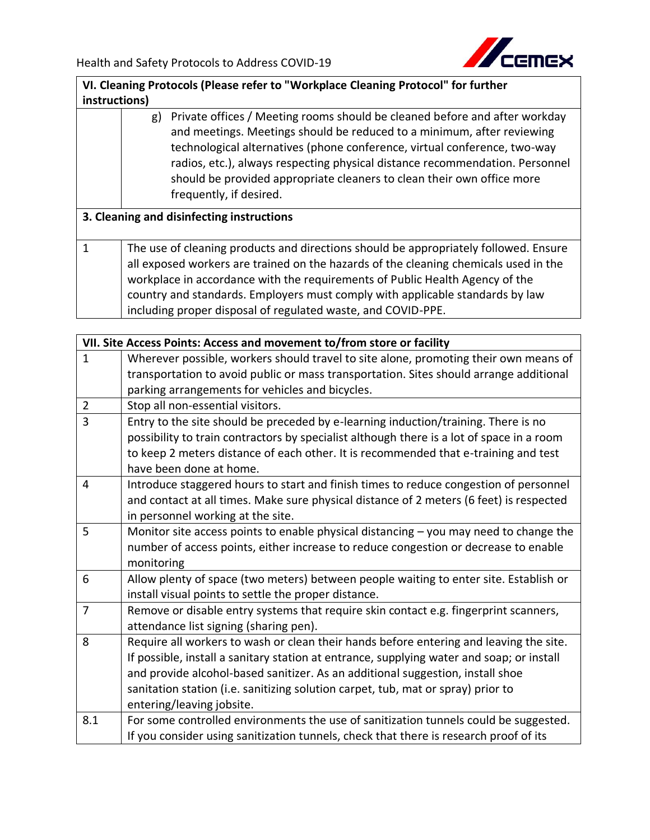

**VI. Cleaning Protocols (Please refer to "Workplace Cleaning Protocol" for further instructions)**

## g) Private offices / Meeting rooms should be cleaned before and after workday and meetings. Meetings should be reduced to a minimum, after reviewing technological alternatives (phone conference, virtual conference, two-way radios, etc.), always respecting physical distance recommendation. Personnel should be provided appropriate cleaners to clean their own office more frequently, if desired.

## **3. Cleaning and disinfecting instructions**

1 The use of cleaning products and directions should be appropriately followed. Ensure all exposed workers are trained on the hazards of the cleaning chemicals used in the workplace in accordance with the requirements of Public Health Agency of the country and standards. Employers must comply with applicable standards by law including proper disposal of regulated waste, and COVID-PPE.

|                | VII. Site Access Points: Access and movement to/from store or facility                    |  |
|----------------|-------------------------------------------------------------------------------------------|--|
| $\mathbf{1}$   | Wherever possible, workers should travel to site alone, promoting their own means of      |  |
|                | transportation to avoid public or mass transportation. Sites should arrange additional    |  |
|                | parking arrangements for vehicles and bicycles.                                           |  |
| $\overline{2}$ | Stop all non-essential visitors.                                                          |  |
| $\overline{3}$ | Entry to the site should be preceded by e-learning induction/training. There is no        |  |
|                | possibility to train contractors by specialist although there is a lot of space in a room |  |
|                | to keep 2 meters distance of each other. It is recommended that e-training and test       |  |
|                | have been done at home.                                                                   |  |
| 4              | Introduce staggered hours to start and finish times to reduce congestion of personnel     |  |
|                | and contact at all times. Make sure physical distance of 2 meters (6 feet) is respected   |  |
|                | in personnel working at the site.                                                         |  |
| 5              | Monitor site access points to enable physical distancing $-$ you may need to change the   |  |
|                | number of access points, either increase to reduce congestion or decrease to enable       |  |
|                | monitoring                                                                                |  |
| 6              | Allow plenty of space (two meters) between people waiting to enter site. Establish or     |  |
|                | install visual points to settle the proper distance.                                      |  |
| $\overline{7}$ | Remove or disable entry systems that require skin contact e.g. fingerprint scanners,      |  |
|                | attendance list signing (sharing pen).                                                    |  |
| 8              | Require all workers to wash or clean their hands before entering and leaving the site.    |  |
|                | If possible, install a sanitary station at entrance, supplying water and soap; or install |  |
|                | and provide alcohol-based sanitizer. As an additional suggestion, install shoe            |  |
|                | sanitation station (i.e. sanitizing solution carpet, tub, mat or spray) prior to          |  |
|                | entering/leaving jobsite.                                                                 |  |
| 8.1            | For some controlled environments the use of sanitization tunnels could be suggested.      |  |
|                | If you consider using sanitization tunnels, check that there is research proof of its     |  |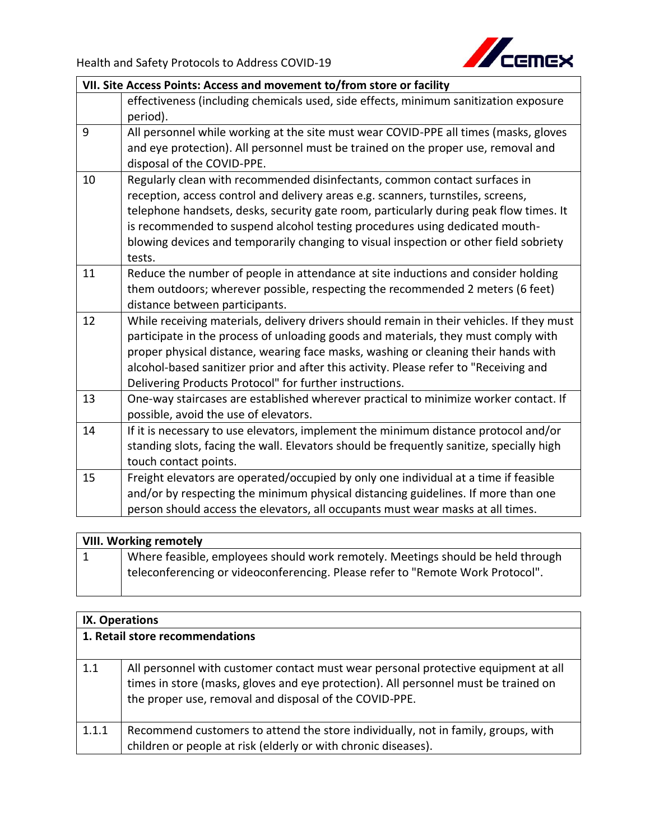

| VII. Site Access Points: Access and movement to/from store or facility |                                                                                                                                                                                                                                                                                                                                                                                                                                            |
|------------------------------------------------------------------------|--------------------------------------------------------------------------------------------------------------------------------------------------------------------------------------------------------------------------------------------------------------------------------------------------------------------------------------------------------------------------------------------------------------------------------------------|
|                                                                        | effectiveness (including chemicals used, side effects, minimum sanitization exposure<br>period).                                                                                                                                                                                                                                                                                                                                           |
| 9                                                                      | All personnel while working at the site must wear COVID-PPE all times (masks, gloves<br>and eye protection). All personnel must be trained on the proper use, removal and<br>disposal of the COVID-PPE.                                                                                                                                                                                                                                    |
| 10                                                                     | Regularly clean with recommended disinfectants, common contact surfaces in<br>reception, access control and delivery areas e.g. scanners, turnstiles, screens,<br>telephone handsets, desks, security gate room, particularly during peak flow times. It<br>is recommended to suspend alcohol testing procedures using dedicated mouth-<br>blowing devices and temporarily changing to visual inspection or other field sobriety<br>tests. |
| 11                                                                     | Reduce the number of people in attendance at site inductions and consider holding<br>them outdoors; wherever possible, respecting the recommended 2 meters (6 feet)<br>distance between participants.                                                                                                                                                                                                                                      |
| 12                                                                     | While receiving materials, delivery drivers should remain in their vehicles. If they must<br>participate in the process of unloading goods and materials, they must comply with<br>proper physical distance, wearing face masks, washing or cleaning their hands with<br>alcohol-based sanitizer prior and after this activity. Please refer to "Receiving and<br>Delivering Products Protocol" for further instructions.                  |
| 13                                                                     | One-way staircases are established wherever practical to minimize worker contact. If<br>possible, avoid the use of elevators.                                                                                                                                                                                                                                                                                                              |
| 14                                                                     | If it is necessary to use elevators, implement the minimum distance protocol and/or<br>standing slots, facing the wall. Elevators should be frequently sanitize, specially high<br>touch contact points.                                                                                                                                                                                                                                   |
| 15                                                                     | Freight elevators are operated/occupied by only one individual at a time if feasible<br>and/or by respecting the minimum physical distancing guidelines. If more than one<br>person should access the elevators, all occupants must wear masks at all times.                                                                                                                                                                               |

| <b>VIII. Working remotely</b> |                                                                                 |
|-------------------------------|---------------------------------------------------------------------------------|
|                               | Where feasible, employees should work remotely. Meetings should be held through |
|                               | teleconferencing or videoconferencing. Please refer to "Remote Work Protocol".  |

| IX. Operations<br>1. Retail store recommendations |                                                                                                                                                     |
|---------------------------------------------------|-----------------------------------------------------------------------------------------------------------------------------------------------------|
|                                                   |                                                                                                                                                     |
| 1.1.1                                             | Recommend customers to attend the store individually, not in family, groups, with<br>children or people at risk (elderly or with chronic diseases). |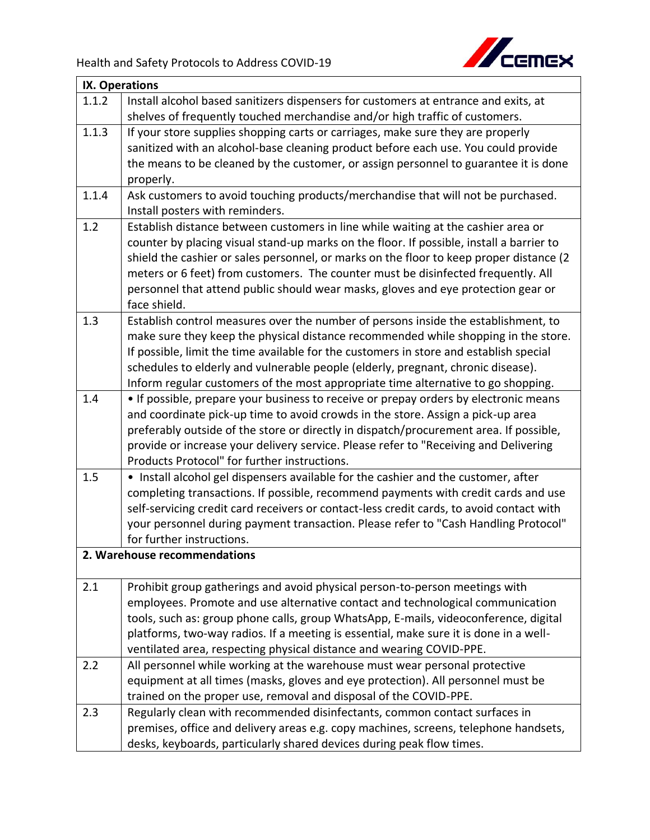

| <b>IX. Operations</b> |                                                                                                                     |
|-----------------------|---------------------------------------------------------------------------------------------------------------------|
| 1.1.2                 | Install alcohol based sanitizers dispensers for customers at entrance and exits, at                                 |
|                       | shelves of frequently touched merchandise and/or high traffic of customers.                                         |
| 1.1.3                 | If your store supplies shopping carts or carriages, make sure they are properly                                     |
|                       | sanitized with an alcohol-base cleaning product before each use. You could provide                                  |
|                       | the means to be cleaned by the customer, or assign personnel to guarantee it is done                                |
|                       | properly.                                                                                                           |
| 1.1.4                 | Ask customers to avoid touching products/merchandise that will not be purchased.<br>Install posters with reminders. |
| 1.2                   | Establish distance between customers in line while waiting at the cashier area or                                   |
|                       | counter by placing visual stand-up marks on the floor. If possible, install a barrier to                            |
|                       | shield the cashier or sales personnel, or marks on the floor to keep proper distance (2                             |
|                       | meters or 6 feet) from customers. The counter must be disinfected frequently. All                                   |
|                       | personnel that attend public should wear masks, gloves and eye protection gear or                                   |
|                       | face shield.                                                                                                        |
| 1.3                   | Establish control measures over the number of persons inside the establishment, to                                  |
|                       | make sure they keep the physical distance recommended while shopping in the store.                                  |
|                       | If possible, limit the time available for the customers in store and establish special                              |
|                       | schedules to elderly and vulnerable people (elderly, pregnant, chronic disease).                                    |
|                       | Inform regular customers of the most appropriate time alternative to go shopping.                                   |
| 1.4                   | • If possible, prepare your business to receive or prepay orders by electronic means                                |
|                       | and coordinate pick-up time to avoid crowds in the store. Assign a pick-up area                                     |
|                       | preferably outside of the store or directly in dispatch/procurement area. If possible,                              |
|                       | provide or increase your delivery service. Please refer to "Receiving and Delivering                                |
|                       | Products Protocol" for further instructions.                                                                        |
| 1.5                   | • Install alcohol gel dispensers available for the cashier and the customer, after                                  |
|                       | completing transactions. If possible, recommend payments with credit cards and use                                  |
|                       | self-servicing credit card receivers or contact-less credit cards, to avoid contact with                            |
|                       | your personnel during payment transaction. Please refer to "Cash Handling Protocol"                                 |
|                       | for further instructions.                                                                                           |
|                       | 2. Warehouse recommendations                                                                                        |
| 2.1                   | Prohibit group gatherings and avoid physical person-to-person meetings with                                         |
|                       | employees. Promote and use alternative contact and technological communication                                      |
|                       | tools, such as: group phone calls, group WhatsApp, E-mails, videoconference, digital                                |
|                       | platforms, two-way radios. If a meeting is essential, make sure it is done in a well-                               |
|                       | ventilated area, respecting physical distance and wearing COVID-PPE.                                                |
| 2.2                   | All personnel while working at the warehouse must wear personal protective                                          |
|                       | equipment at all times (masks, gloves and eye protection). All personnel must be                                    |
|                       | trained on the proper use, removal and disposal of the COVID-PPE.                                                   |
| 2.3                   | Regularly clean with recommended disinfectants, common contact surfaces in                                          |
|                       | premises, office and delivery areas e.g. copy machines, screens, telephone handsets,                                |
|                       | desks, keyboards, particularly shared devices during peak flow times.                                               |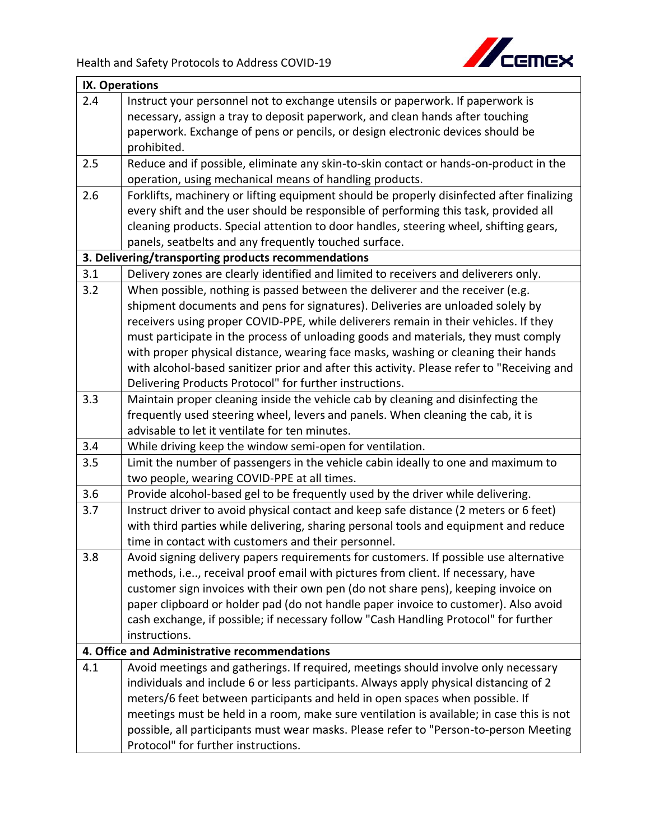

|     | <b>IX. Operations</b>                                                                                                             |  |
|-----|-----------------------------------------------------------------------------------------------------------------------------------|--|
| 2.4 | Instruct your personnel not to exchange utensils or paperwork. If paperwork is                                                    |  |
|     | necessary, assign a tray to deposit paperwork, and clean hands after touching                                                     |  |
|     | paperwork. Exchange of pens or pencils, or design electronic devices should be                                                    |  |
|     | prohibited.                                                                                                                       |  |
| 2.5 | Reduce and if possible, eliminate any skin-to-skin contact or hands-on-product in the                                             |  |
|     | operation, using mechanical means of handling products.                                                                           |  |
| 2.6 | Forklifts, machinery or lifting equipment should be properly disinfected after finalizing                                         |  |
|     | every shift and the user should be responsible of performing this task, provided all                                              |  |
|     | cleaning products. Special attention to door handles, steering wheel, shifting gears,                                             |  |
|     | panels, seatbelts and any frequently touched surface.                                                                             |  |
|     | 3. Delivering/transporting products recommendations                                                                               |  |
| 3.1 | Delivery zones are clearly identified and limited to receivers and deliverers only.                                               |  |
| 3.2 | When possible, nothing is passed between the deliverer and the receiver (e.g.                                                     |  |
|     | shipment documents and pens for signatures). Deliveries are unloaded solely by                                                    |  |
|     | receivers using proper COVID-PPE, while deliverers remain in their vehicles. If they                                              |  |
|     | must participate in the process of unloading goods and materials, they must comply                                                |  |
|     | with proper physical distance, wearing face masks, washing or cleaning their hands                                                |  |
|     | with alcohol-based sanitizer prior and after this activity. Please refer to "Receiving and                                        |  |
|     | Delivering Products Protocol" for further instructions.                                                                           |  |
| 3.3 | Maintain proper cleaning inside the vehicle cab by cleaning and disinfecting the                                                  |  |
|     | frequently used steering wheel, levers and panels. When cleaning the cab, it is<br>advisable to let it ventilate for ten minutes. |  |
| 3.4 | While driving keep the window semi-open for ventilation.                                                                          |  |
| 3.5 | Limit the number of passengers in the vehicle cabin ideally to one and maximum to                                                 |  |
|     | two people, wearing COVID-PPE at all times.                                                                                       |  |
| 3.6 | Provide alcohol-based gel to be frequently used by the driver while delivering.                                                   |  |
| 3.7 | Instruct driver to avoid physical contact and keep safe distance (2 meters or 6 feet)                                             |  |
|     | with third parties while delivering, sharing personal tools and equipment and reduce                                              |  |
|     | time in contact with customers and their personnel.                                                                               |  |
| 3.8 | Avoid signing delivery papers requirements for customers. If possible use alternative                                             |  |
|     | methods, i.e, receival proof email with pictures from client. If necessary, have                                                  |  |
|     | customer sign invoices with their own pen (do not share pens), keeping invoice on                                                 |  |
|     | paper clipboard or holder pad (do not handle paper invoice to customer). Also avoid                                               |  |
|     | cash exchange, if possible; if necessary follow "Cash Handling Protocol" for further                                              |  |
|     | instructions.                                                                                                                     |  |
|     | 4. Office and Administrative recommendations                                                                                      |  |
| 4.1 | Avoid meetings and gatherings. If required, meetings should involve only necessary                                                |  |
|     | individuals and include 6 or less participants. Always apply physical distancing of 2                                             |  |
|     | meters/6 feet between participants and held in open spaces when possible. If                                                      |  |
|     | meetings must be held in a room, make sure ventilation is available; in case this is not                                          |  |
|     | possible, all participants must wear masks. Please refer to "Person-to-person Meeting                                             |  |
|     | Protocol" for further instructions.                                                                                               |  |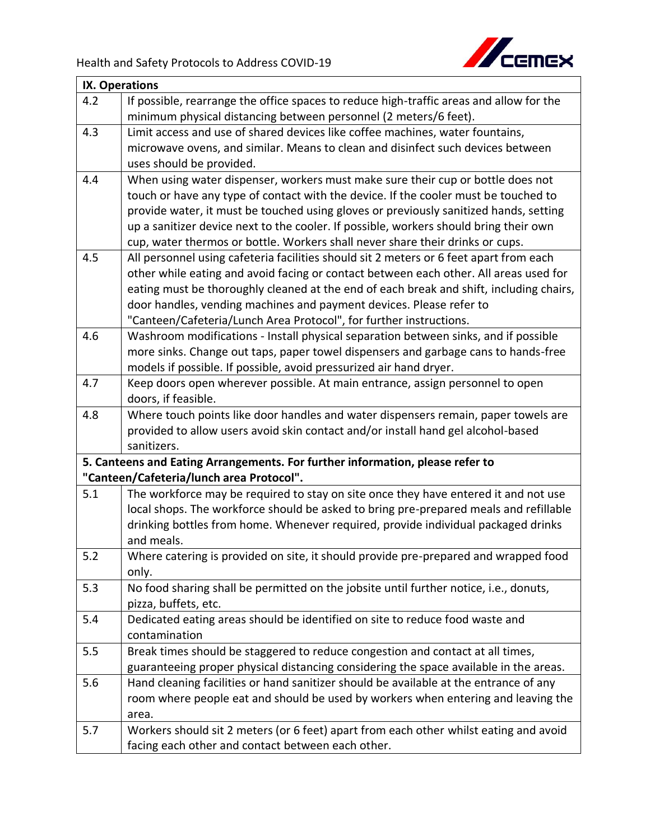

| <b>IX. Operations</b> |                                                                                                                           |
|-----------------------|---------------------------------------------------------------------------------------------------------------------------|
| 4.2                   | If possible, rearrange the office spaces to reduce high-traffic areas and allow for the                                   |
|                       | minimum physical distancing between personnel (2 meters/6 feet).                                                          |
| 4.3                   | Limit access and use of shared devices like coffee machines, water fountains,                                             |
|                       | microwave ovens, and similar. Means to clean and disinfect such devices between                                           |
|                       | uses should be provided.                                                                                                  |
| 4.4                   | When using water dispenser, workers must make sure their cup or bottle does not                                           |
|                       | touch or have any type of contact with the device. If the cooler must be touched to                                       |
|                       | provide water, it must be touched using gloves or previously sanitized hands, setting                                     |
|                       | up a sanitizer device next to the cooler. If possible, workers should bring their own                                     |
|                       | cup, water thermos or bottle. Workers shall never share their drinks or cups.                                             |
| 4.5                   | All personnel using cafeteria facilities should sit 2 meters or 6 feet apart from each                                    |
|                       | other while eating and avoid facing or contact between each other. All areas used for                                     |
|                       | eating must be thoroughly cleaned at the end of each break and shift, including chairs,                                   |
|                       | door handles, vending machines and payment devices. Please refer to                                                       |
|                       | "Canteen/Cafeteria/Lunch Area Protocol", for further instructions.                                                        |
| 4.6                   | Washroom modifications - Install physical separation between sinks, and if possible                                       |
|                       | more sinks. Change out taps, paper towel dispensers and garbage cans to hands-free                                        |
|                       | models if possible. If possible, avoid pressurized air hand dryer.                                                        |
| 4.7                   | Keep doors open wherever possible. At main entrance, assign personnel to open                                             |
|                       | doors, if feasible.                                                                                                       |
| 4.8                   | Where touch points like door handles and water dispensers remain, paper towels are                                        |
|                       | provided to allow users avoid skin contact and/or install hand gel alcohol-based                                          |
|                       | sanitizers.                                                                                                               |
|                       | 5. Canteens and Eating Arrangements. For further information, please refer to<br>"Canteen/Cafeteria/lunch area Protocol". |
| 5.1                   | The workforce may be required to stay on site once they have entered it and not use                                       |
|                       | local shops. The workforce should be asked to bring pre-prepared meals and refillable                                     |
|                       | drinking bottles from home. Whenever required, provide individual packaged drinks                                         |
|                       | and meals.                                                                                                                |
| 5.2                   | Where catering is provided on site, it should provide pre-prepared and wrapped food                                       |
|                       | only.                                                                                                                     |
| 5.3                   | No food sharing shall be permitted on the jobsite until further notice, i.e., donuts,                                     |
|                       | pizza, buffets, etc.                                                                                                      |
| 5.4                   | Dedicated eating areas should be identified on site to reduce food waste and                                              |
|                       | contamination                                                                                                             |
| 5.5                   | Break times should be staggered to reduce congestion and contact at all times,                                            |
|                       | guaranteeing proper physical distancing considering the space available in the areas.                                     |
| 5.6                   | Hand cleaning facilities or hand sanitizer should be available at the entrance of any                                     |
|                       | room where people eat and should be used by workers when entering and leaving the                                         |
|                       | area.                                                                                                                     |
| 5.7                   | Workers should sit 2 meters (or 6 feet) apart from each other whilst eating and avoid                                     |
|                       | facing each other and contact between each other.                                                                         |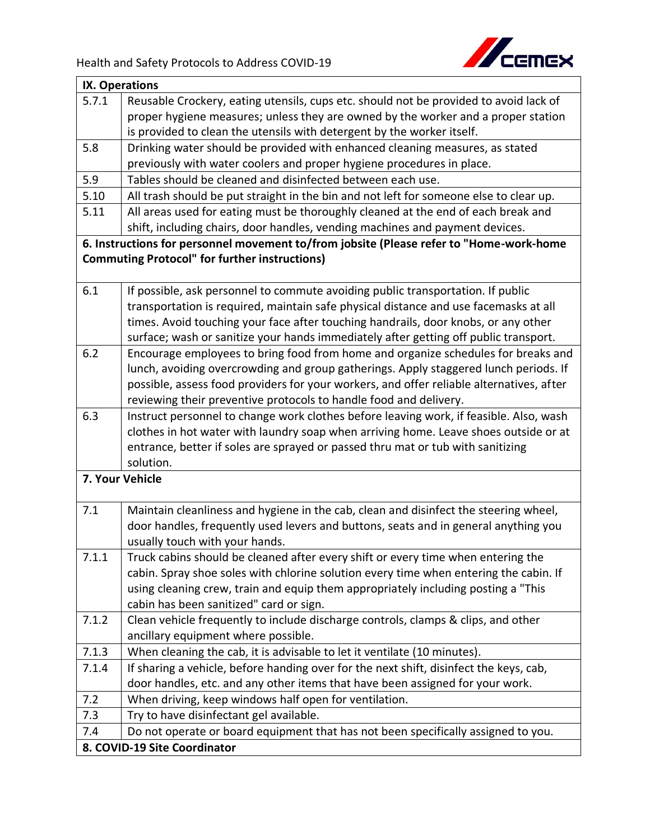

| IX. Operations               |                                                                                          |
|------------------------------|------------------------------------------------------------------------------------------|
| 5.7.1                        | Reusable Crockery, eating utensils, cups etc. should not be provided to avoid lack of    |
|                              | proper hygiene measures; unless they are owned by the worker and a proper station        |
|                              | is provided to clean the utensils with detergent by the worker itself.                   |
| 5.8                          | Drinking water should be provided with enhanced cleaning measures, as stated             |
|                              | previously with water coolers and proper hygiene procedures in place.                    |
| 5.9                          | Tables should be cleaned and disinfected between each use.                               |
| 5.10                         | All trash should be put straight in the bin and not left for someone else to clear up.   |
| 5.11                         | All areas used for eating must be thoroughly cleaned at the end of each break and        |
|                              | shift, including chairs, door handles, vending machines and payment devices.             |
|                              | 6. Instructions for personnel movement to/from jobsite (Please refer to "Home-work-home  |
|                              | <b>Commuting Protocol" for further instructions)</b>                                     |
|                              |                                                                                          |
| 6.1                          | If possible, ask personnel to commute avoiding public transportation. If public          |
|                              | transportation is required, maintain safe physical distance and use facemasks at all     |
|                              | times. Avoid touching your face after touching handrails, door knobs, or any other       |
|                              | surface; wash or sanitize your hands immediately after getting off public transport.     |
| 6.2                          | Encourage employees to bring food from home and organize schedules for breaks and        |
|                              | lunch, avoiding overcrowding and group gatherings. Apply staggered lunch periods. If     |
|                              | possible, assess food providers for your workers, and offer reliable alternatives, after |
|                              | reviewing their preventive protocols to handle food and delivery.                        |
| 6.3                          | Instruct personnel to change work clothes before leaving work, if feasible. Also, wash   |
|                              | clothes in hot water with laundry soap when arriving home. Leave shoes outside or at     |
|                              | entrance, better if soles are sprayed or passed thru mat or tub with sanitizing          |
|                              | solution.                                                                                |
|                              | 7. Your Vehicle                                                                          |
|                              |                                                                                          |
| 7.1                          | Maintain cleanliness and hygiene in the cab, clean and disinfect the steering wheel,     |
|                              | door handles, frequently used levers and buttons, seats and in general anything you      |
|                              | usually touch with your hands.                                                           |
| 7.1.1                        | Truck cabins should be cleaned after every shift or every time when entering the         |
|                              | cabin. Spray shoe soles with chlorine solution every time when entering the cabin. If    |
|                              | using cleaning crew, train and equip them appropriately including posting a "This        |
|                              | cabin has been sanitized" card or sign.                                                  |
| 7.1.2                        | Clean vehicle frequently to include discharge controls, clamps & clips, and other        |
|                              | ancillary equipment where possible.                                                      |
| 7.1.3                        | When cleaning the cab, it is advisable to let it ventilate (10 minutes).                 |
| 7.1.4                        | If sharing a vehicle, before handing over for the next shift, disinfect the keys, cab,   |
|                              | door handles, etc. and any other items that have been assigned for your work.            |
| 7.2                          | When driving, keep windows half open for ventilation.                                    |
| 7.3                          | Try to have disinfectant gel available.                                                  |
| 7.4                          | Do not operate or board equipment that has not been specifically assigned to you.        |
| 8. COVID-19 Site Coordinator |                                                                                          |